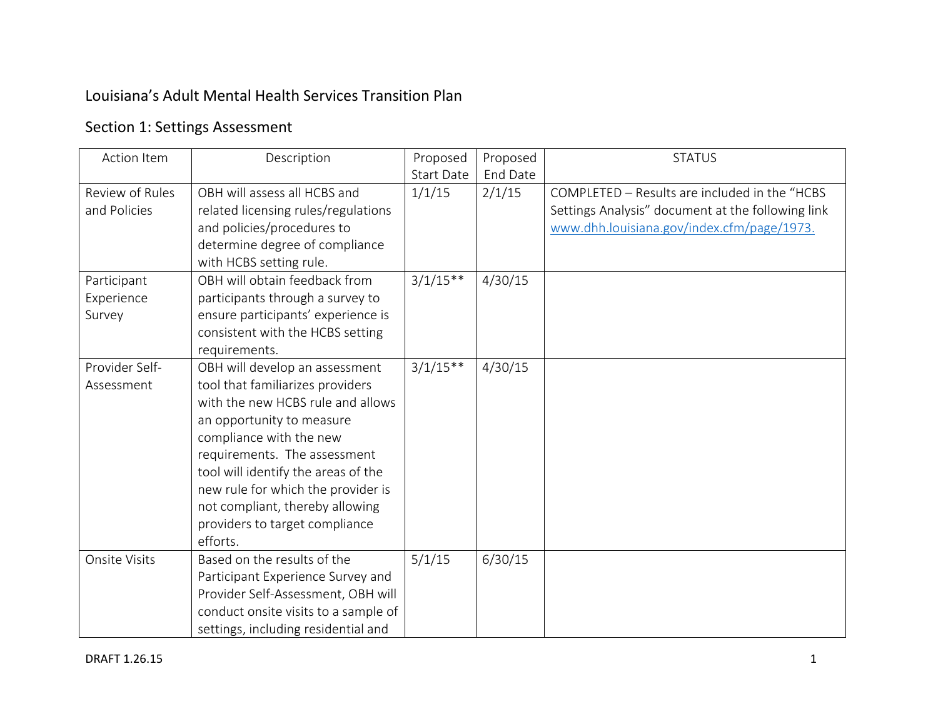## Louisiana's Adult Mental Health Services Transition Plan

## Section 1: Settings Assessment

| Action Item     | Description                          | Proposed          | Proposed | <b>STATUS</b>                                     |
|-----------------|--------------------------------------|-------------------|----------|---------------------------------------------------|
|                 |                                      | <b>Start Date</b> | End Date |                                                   |
| Review of Rules | OBH will assess all HCBS and         | 1/1/15            | 2/1/15   | COMPLETED - Results are included in the "HCBS     |
| and Policies    | related licensing rules/regulations  |                   |          | Settings Analysis" document at the following link |
|                 | and policies/procedures to           |                   |          | www.dhh.louisiana.gov/index.cfm/page/1973.        |
|                 | determine degree of compliance       |                   |          |                                                   |
|                 | with HCBS setting rule.              |                   |          |                                                   |
| Participant     | OBH will obtain feedback from        | $3/1/15**$        | 4/30/15  |                                                   |
| Experience      | participants through a survey to     |                   |          |                                                   |
| Survey          | ensure participants' experience is   |                   |          |                                                   |
|                 | consistent with the HCBS setting     |                   |          |                                                   |
|                 | requirements.                        |                   |          |                                                   |
| Provider Self-  | OBH will develop an assessment       | $3/1/15**$        | 4/30/15  |                                                   |
| Assessment      | tool that familiarizes providers     |                   |          |                                                   |
|                 | with the new HCBS rule and allows    |                   |          |                                                   |
|                 | an opportunity to measure            |                   |          |                                                   |
|                 | compliance with the new              |                   |          |                                                   |
|                 | requirements. The assessment         |                   |          |                                                   |
|                 | tool will identify the areas of the  |                   |          |                                                   |
|                 | new rule for which the provider is   |                   |          |                                                   |
|                 | not compliant, thereby allowing      |                   |          |                                                   |
|                 | providers to target compliance       |                   |          |                                                   |
|                 | efforts.                             |                   |          |                                                   |
| Onsite Visits   | Based on the results of the          | 5/1/15            | 6/30/15  |                                                   |
|                 | Participant Experience Survey and    |                   |          |                                                   |
|                 | Provider Self-Assessment, OBH will   |                   |          |                                                   |
|                 | conduct onsite visits to a sample of |                   |          |                                                   |
|                 | settings, including residential and  |                   |          |                                                   |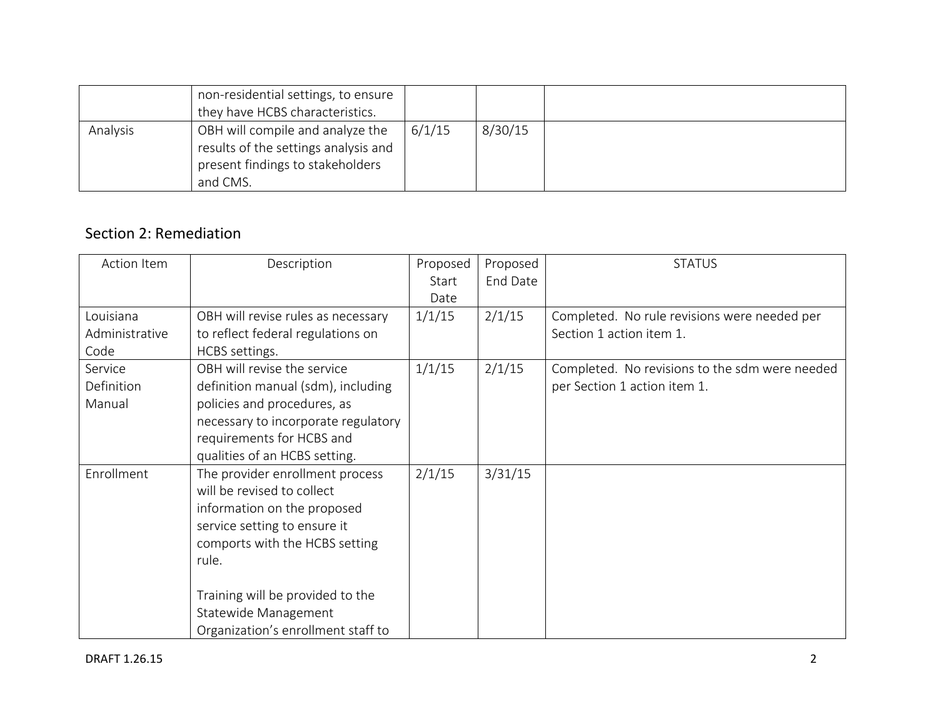|          | non-residential settings, to ensure<br>they have HCBS characteristics.                                                   |        |         |  |
|----------|--------------------------------------------------------------------------------------------------------------------------|--------|---------|--|
| Analysis | OBH will compile and analyze the<br>results of the settings analysis and<br>present findings to stakeholders<br>and CMS. | 6/1/15 | 8/30/15 |  |

## Section 2: Remediation

| Action Item    | Description                         | Proposed | Proposed | <b>STATUS</b>                                  |
|----------------|-------------------------------------|----------|----------|------------------------------------------------|
|                |                                     | Start    | End Date |                                                |
|                |                                     | Date     |          |                                                |
| Louisiana      | OBH will revise rules as necessary  | 1/1/15   | 2/1/15   | Completed. No rule revisions were needed per   |
| Administrative | to reflect federal regulations on   |          |          | Section 1 action item 1.                       |
| Code           | HCBS settings.                      |          |          |                                                |
| Service        | OBH will revise the service         | 1/1/15   | 2/1/15   | Completed. No revisions to the sdm were needed |
| Definition     | definition manual (sdm), including  |          |          | per Section 1 action item 1.                   |
| Manual         | policies and procedures, as         |          |          |                                                |
|                | necessary to incorporate regulatory |          |          |                                                |
|                | requirements for HCBS and           |          |          |                                                |
|                | qualities of an HCBS setting.       |          |          |                                                |
| Enrollment     | The provider enrollment process     | 2/1/15   | 3/31/15  |                                                |
|                | will be revised to collect          |          |          |                                                |
|                | information on the proposed         |          |          |                                                |
|                | service setting to ensure it        |          |          |                                                |
|                | comports with the HCBS setting      |          |          |                                                |
|                | rule.                               |          |          |                                                |
|                |                                     |          |          |                                                |
|                | Training will be provided to the    |          |          |                                                |
|                | Statewide Management                |          |          |                                                |
|                | Organization's enrollment staff to  |          |          |                                                |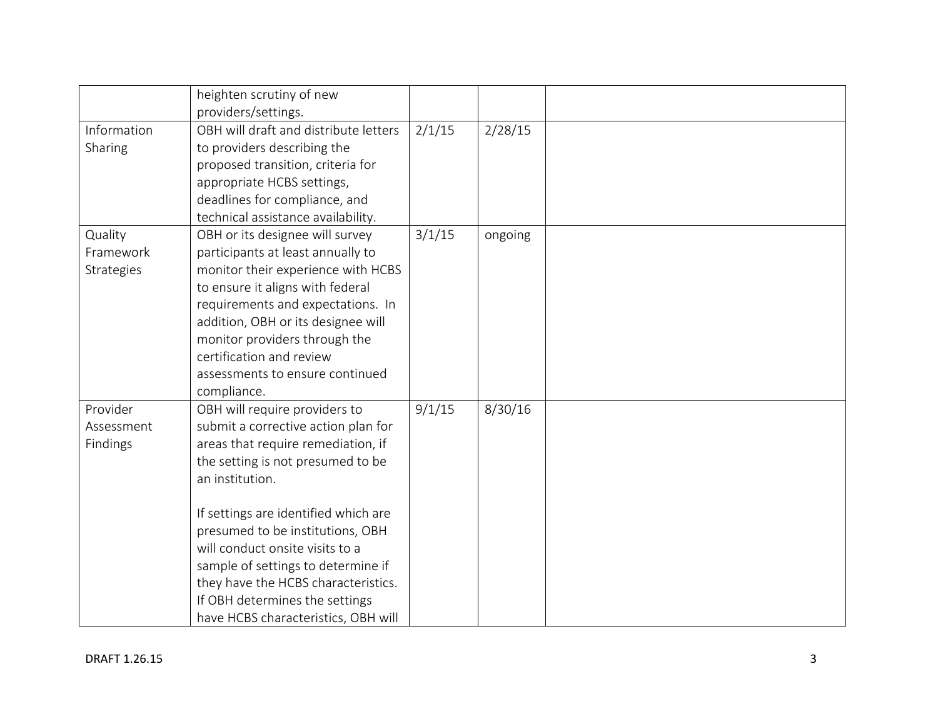|                                    | heighten scrutiny of new<br>providers/settings.                                                                                                                                                                                                                                                                                                                                                                                         |        |         |  |
|------------------------------------|-----------------------------------------------------------------------------------------------------------------------------------------------------------------------------------------------------------------------------------------------------------------------------------------------------------------------------------------------------------------------------------------------------------------------------------------|--------|---------|--|
| Information<br>Sharing             | OBH will draft and distribute letters<br>to providers describing the<br>proposed transition, criteria for<br>appropriate HCBS settings,<br>deadlines for compliance, and<br>technical assistance availability.                                                                                                                                                                                                                          | 2/1/15 | 2/28/15 |  |
| Quality<br>Framework<br>Strategies | OBH or its designee will survey<br>participants at least annually to<br>monitor their experience with HCBS<br>to ensure it aligns with federal<br>requirements and expectations. In<br>addition, OBH or its designee will<br>monitor providers through the<br>certification and review<br>assessments to ensure continued<br>compliance.                                                                                                | 3/1/15 | ongoing |  |
| Provider<br>Assessment<br>Findings | OBH will require providers to<br>submit a corrective action plan for<br>areas that require remediation, if<br>the setting is not presumed to be<br>an institution.<br>If settings are identified which are<br>presumed to be institutions, OBH<br>will conduct onsite visits to a<br>sample of settings to determine if<br>they have the HCBS characteristics.<br>If OBH determines the settings<br>have HCBS characteristics, OBH will | 9/1/15 | 8/30/16 |  |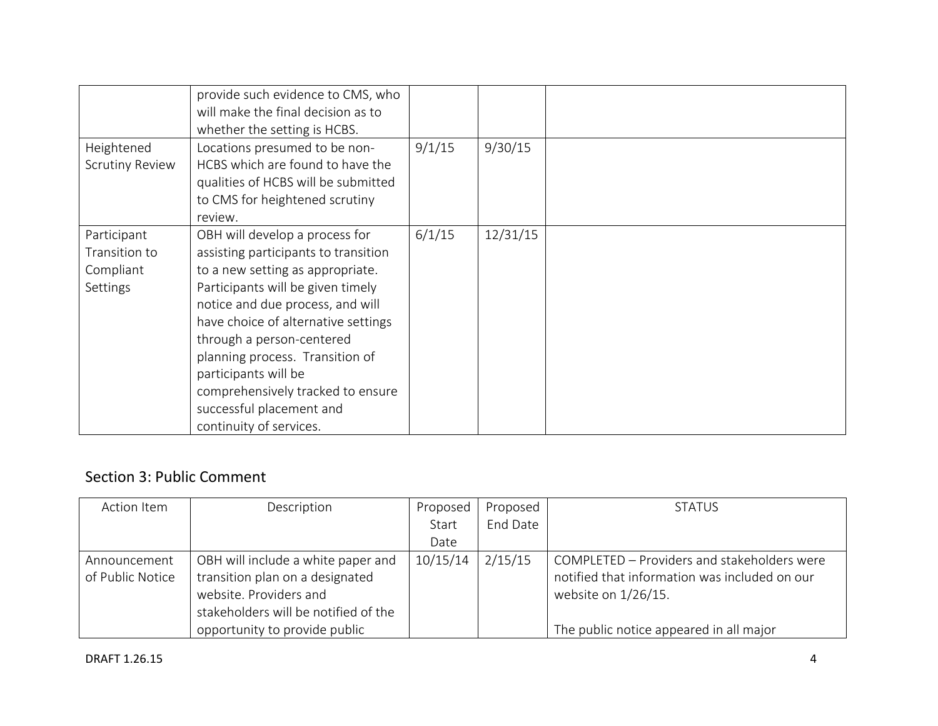|                                                              | provide such evidence to CMS, who<br>will make the final decision as to<br>whether the setting is HCBS.                                                                                                                                                                                                                                                                                                        |        |          |  |
|--------------------------------------------------------------|----------------------------------------------------------------------------------------------------------------------------------------------------------------------------------------------------------------------------------------------------------------------------------------------------------------------------------------------------------------------------------------------------------------|--------|----------|--|
| Heightened<br><b>Scrutiny Review</b>                         | Locations presumed to be non-<br>HCBS which are found to have the<br>qualities of HCBS will be submitted<br>to CMS for heightened scrutiny<br>review.                                                                                                                                                                                                                                                          | 9/1/15 | 9/30/15  |  |
| Participant<br>Transition to<br>Compliant<br><b>Settings</b> | OBH will develop a process for<br>assisting participants to transition<br>to a new setting as appropriate.<br>Participants will be given timely<br>notice and due process, and will<br>have choice of alternative settings<br>through a person-centered<br>planning process. Transition of<br>participants will be<br>comprehensively tracked to ensure<br>successful placement and<br>continuity of services. | 6/1/15 | 12/31/15 |  |

## Section 3: Public Comment

| Action Item      | Description                          | Proposed | Proposed | <b>STATUS</b>                                 |
|------------------|--------------------------------------|----------|----------|-----------------------------------------------|
|                  |                                      | Start    | End Date |                                               |
|                  |                                      | Date     |          |                                               |
| Announcement     | OBH will include a white paper and   | 10/15/14 | 2/15/15  | COMPLETED - Providers and stakeholders were   |
| of Public Notice | transition plan on a designated      |          |          | notified that information was included on our |
|                  | website. Providers and               |          |          | website on 1/26/15.                           |
|                  | stakeholders will be notified of the |          |          |                                               |
|                  | opportunity to provide public        |          |          | The public notice appeared in all major       |